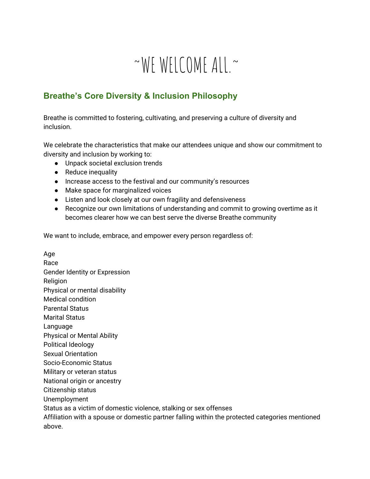# $~\sim$ WEWELCOMEALL $~\sim$

## **Breathe's Core Diversity & Inclusion Philosophy**

Breathe is committed to fostering, cultivating, and preserving a culture of diversity and inclusion.

We celebrate the characteristics that make our attendees unique and show our commitment to diversity and inclusion by working to:

- Unpack societal exclusion trends
- Reduce inequality
- Increase access to the festival and our community's resources
- Make space for marginalized voices
- Listen and look closely at our own fragility and defensiveness
- Recognize our own limitations of understanding and commit to growing overtime as it becomes clearer how we can best serve the diverse Breathe community

We want to include, embrace, and empower every person regardless of:

Age Race Gender Identity or Expression Religion Physical or mental disability Medical condition Parental Status Marital Status Language Physical or Mental Ability Political Ideology Sexual Orientation Socio-Economic Status Military or veteran status National origin or ancestry Citizenship status Unemployment Status as a victim of domestic violence, stalking or sex offenses Affiliation with a spouse or domestic partner falling within the protected categories mentioned above.